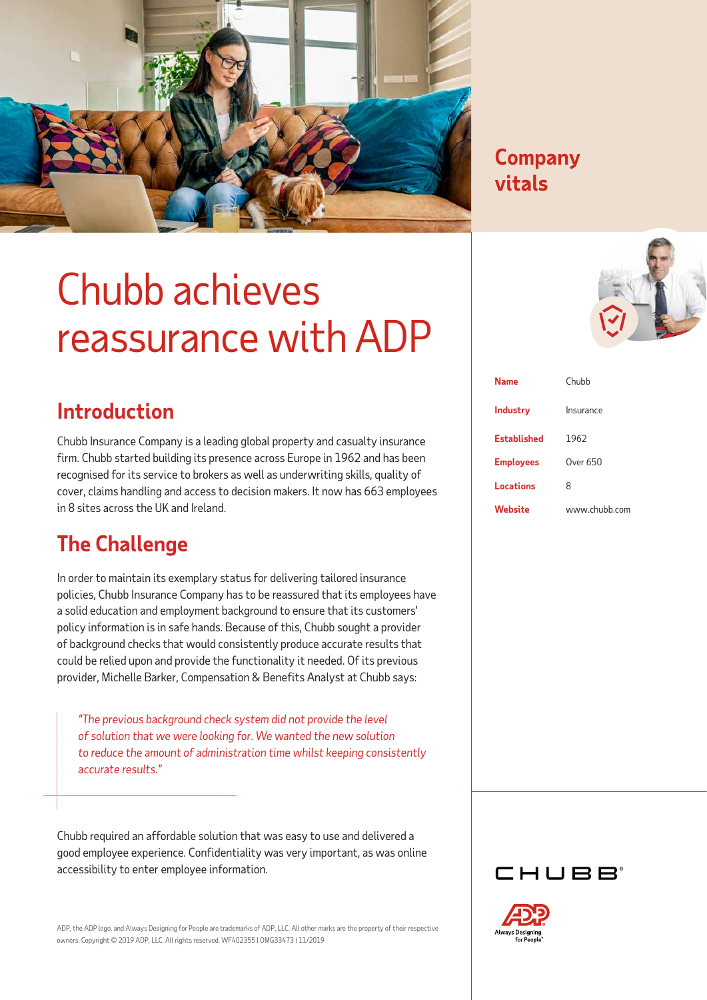

#### **Company Company vitals vitals**

## Chubb achieves reassurance with ADP

| <b>Introduction</b> |
|---------------------|
|                     |

Chubb Insurance Company is a leading global property and casualty insurance firm. Chubb started building its presence across Europe in 1962 and has been recognised for its service to brokers as well as underwriting skills, quality of cover, claims handling and access to decision makers. It now has 663 employees in 8 sites across the UK and Ireland.

### **The Challenge**

In order to maintain its exemplary status for delivering tailored insurance policies, Chubb Insurance Company has to be reassured that its employees have a solid education and employment background to ensure that its customers' policy information is in safe hands. Because of this, Chubb sought a provider of background checks that would consistently produce accurate results that could be relied upon and provide the functionality it needed. Of its previous provider, Michelle Barker, Compensation & Benefits Analyst at Chubb says:

*"The previous background check system did not provide the level of solution that we were looking for. We wanted the new solution to reduce the amount of administration time whilst keeping consistently accurate results."*

Chubb required an affordable solution that was easy to use and delivered a good employee experience. Confidentiality was very important, as was online accessibility to enter employee information.

ADP, the ADP logo, and Always Designing for People are trademarks of ADP, LLC. All other marks are the property of their respective owners. Copyright © 2019 ADP, LLC. All rights reserved. WF402355 | OMG33473 | 11/2019

| <b>Industry</b>    | Insurance     |
|--------------------|---------------|
| <b>Established</b> | 1962          |
| <b>Employees</b>   | Over 650      |
| <b>Locations</b>   | 8             |
| Website            | www.chubb.com |

**Name** Chubb



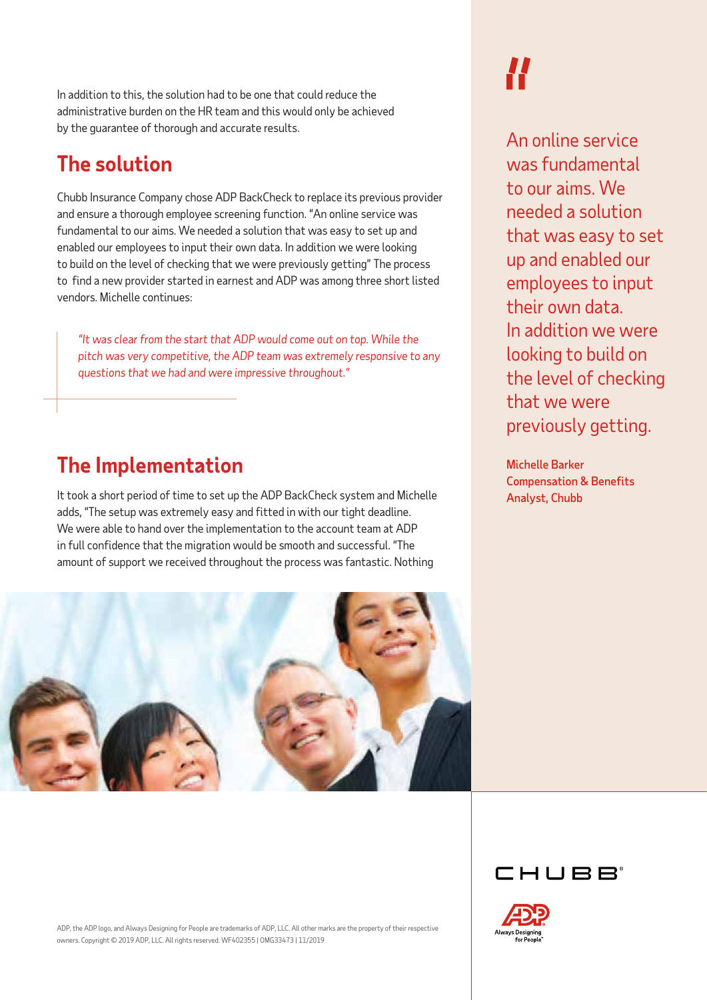In addition to this, the solution had to be one that could reduce the administrative burden on the HR team and this would only be achieved by the guarantee of thorough and accurate results.

### **The solution**

Chubb Insurance Company chose ADP BackCheck to replace its previous provider and ensure a thorough employee screening function. "An online service was fundamental to our aims. We needed a solution that was easy to set up and enabled our employees to input their own data. In addition we were looking to build on the level of checking that we were previously getting" The process to find a new provider started in earnest and ADP was among three short listed vendors. Michelle continues:

*"It was clear from the start that ADP would come out on top. While the pitch was very competitive, the ADP team was extremely responsive to any questions that we had and were impressive throughout."* 

#### **The Implementation**

It took a short period of time to set up the ADP BackCheck system and Michelle adds, "The setup was extremely easy and fitted in with our tight deadline. We were able to hand over the implementation to the account team at ADP in full confidence that the migration would be smooth and successful. "The amount of support we received throughout the process was fantastic. Nothing

# **//**

An online service was fundamental to our aims. We needed a solution that was easy to set up and enabled our employees to input their own data. In addition we were looking to build on the level of checking that we were previously getting.

Michelle Barker Compensation & Benefits Analyst, Chubb



CHURR



ADP, the ADP logo, and Always Designing for People are trademarks of ADP, LLC. All other marks are the property of their respective owners. Copyright © 2019 ADP, LLC. All rights reserved. WF402355 | OMG33473 | 11/2019